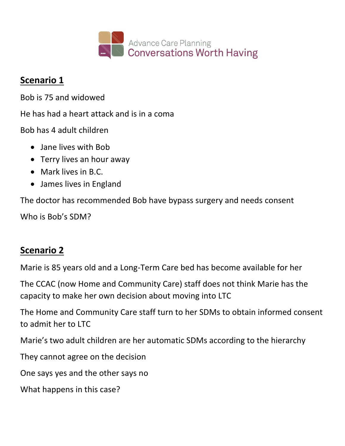

#### **Scenario 1**

Bob is 75 and widowed

He has had a heart attack and is in a coma

Bob has 4 adult children

- Jane lives with Bob
- Terry lives an hour away
- Mark lives in B.C.
- James lives in England

The doctor has recommended Bob have bypass surgery and needs consent

Who is Bob's SDM?

# **Scenario 2**

Marie is 85 years old and a Long-Term Care bed has become available for her

The CCAC (now Home and Community Care) staff does not think Marie has the capacity to make her own decision about moving into LTC

The Home and Community Care staff turn to her SDMs to obtain informed consent to admit her to LTC

Marie's two adult children are her automatic SDMs according to the hierarchy

They cannot agree on the decision

One says yes and the other says no

What happens in this case?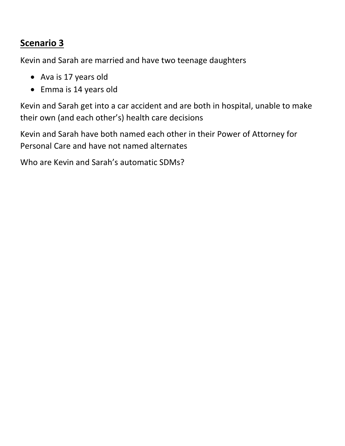## **Scenario 3**

Kevin and Sarah are married and have two teenage daughters

- Ava is 17 years old
- Emma is 14 years old

Kevin and Sarah get into a car accident and are both in hospital, unable to make their own (and each other's) health care decisions

Kevin and Sarah have both named each other in their Power of Attorney for Personal Care and have not named alternates

Who are Kevin and Sarah's automatic SDMs?